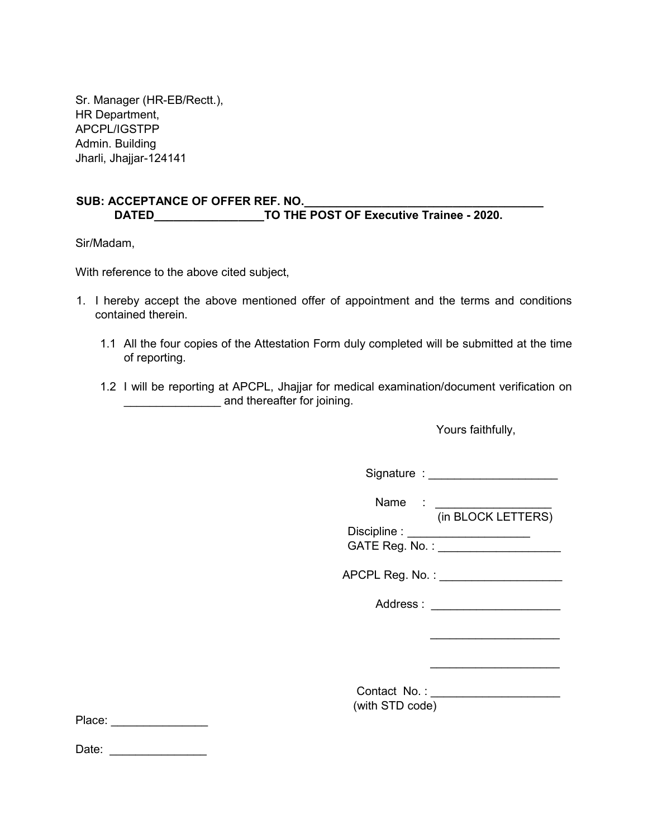Sr. Manager (HR-EB/Rectt.), HR Department, APCPL/IGSTPP Admin. Building Jharli, Jhajjar-124141

## SUB: ACCEPTANCE OF OFFER REF. NO. DATED\_\_\_\_\_\_\_\_\_\_\_\_\_\_\_\_\_\_\_\_\_\_\_\_\_TO THE POST OF Executive Trainee - 2020.

Sir/Madam,

With reference to the above cited subject,

- 1. I hereby accept the above mentioned offer of appointment and the terms and conditions contained therein.
	- 1.1 All the four copies of the Attestation Form duly completed will be submitted at the time of reporting.
	- 1.2 I will be reporting at APCPL, Jhajjar for medical examination/document verification on and thereafter for joining.

Yours faithfully,

|        |                 | Signature : _______________________                                                                                                                                                                                                                  |
|--------|-----------------|------------------------------------------------------------------------------------------------------------------------------------------------------------------------------------------------------------------------------------------------------|
|        |                 | Name : the state of the state of the state of the state of the state of the state of the state of the state of the state of the state of the state of the state of the state of the state of the state of the state of the sta<br>(in BLOCK LETTERS) |
|        |                 | Discipline : _____________________                                                                                                                                                                                                                   |
|        |                 | GATE Reg. No. : ___________________                                                                                                                                                                                                                  |
|        |                 | APCPL Reg. No. : ___________________                                                                                                                                                                                                                 |
|        |                 | Address: Note that the set of the set of the set of the set of the set of the set of the set of the set of the set of the set of the set of the set of the set of the set of the set of the set of the set of the set of the s                       |
|        |                 |                                                                                                                                                                                                                                                      |
|        |                 |                                                                                                                                                                                                                                                      |
|        |                 | Contact No.: _________________                                                                                                                                                                                                                       |
|        | (with STD code) |                                                                                                                                                                                                                                                      |
| Place: |                 |                                                                                                                                                                                                                                                      |

Date: \_\_\_\_\_\_\_\_\_\_\_\_\_\_\_